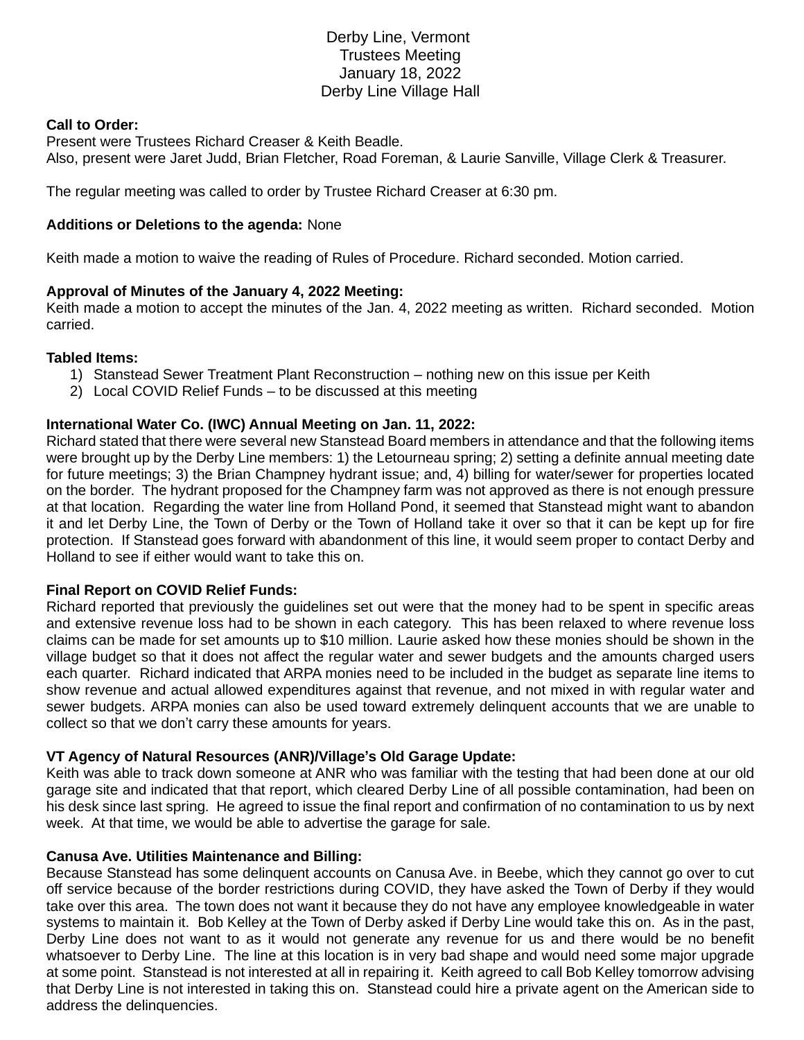# Derby Line, Vermont Trustees Meeting January 18, 2022 Derby Line Village Hall

## **Call to Order:**

Present were Trustees Richard Creaser & Keith Beadle. Also, present were Jaret Judd, Brian Fletcher, Road Foreman, & Laurie Sanville, Village Clerk & Treasurer.

The regular meeting was called to order by Trustee Richard Creaser at 6:30 pm.

## **Additions or Deletions to the agenda:** None

Keith made a motion to waive the reading of Rules of Procedure. Richard seconded. Motion carried.

# **Approval of Minutes of the January 4, 2022 Meeting:**

Keith made a motion to accept the minutes of the Jan. 4, 2022 meeting as written. Richard seconded. Motion carried.

# **Tabled Items:**

- 1) Stanstead Sewer Treatment Plant Reconstruction nothing new on this issue per Keith
- 2) Local COVID Relief Funds to be discussed at this meeting

# **International Water Co. (IWC) Annual Meeting on Jan. 11, 2022:**

Richard stated that there were several new Stanstead Board members in attendance and that the following items were brought up by the Derby Line members: 1) the Letourneau spring; 2) setting a definite annual meeting date for future meetings; 3) the Brian Champney hydrant issue; and, 4) billing for water/sewer for properties located on the border. The hydrant proposed for the Champney farm was not approved as there is not enough pressure at that location. Regarding the water line from Holland Pond, it seemed that Stanstead might want to abandon it and let Derby Line, the Town of Derby or the Town of Holland take it over so that it can be kept up for fire protection. If Stanstead goes forward with abandonment of this line, it would seem proper to contact Derby and Holland to see if either would want to take this on.

#### **Final Report on COVID Relief Funds:**

Richard reported that previously the guidelines set out were that the money had to be spent in specific areas and extensive revenue loss had to be shown in each category. This has been relaxed to where revenue loss claims can be made for set amounts up to \$10 million. Laurie asked how these monies should be shown in the village budget so that it does not affect the regular water and sewer budgets and the amounts charged users each quarter. Richard indicated that ARPA monies need to be included in the budget as separate line items to show revenue and actual allowed expenditures against that revenue, and not mixed in with regular water and sewer budgets. ARPA monies can also be used toward extremely delinquent accounts that we are unable to collect so that we don't carry these amounts for years.

#### **VT Agency of Natural Resources (ANR)/Village's Old Garage Update:**

Keith was able to track down someone at ANR who was familiar with the testing that had been done at our old garage site and indicated that that report, which cleared Derby Line of all possible contamination, had been on his desk since last spring. He agreed to issue the final report and confirmation of no contamination to us by next week. At that time, we would be able to advertise the garage for sale.

#### **Canusa Ave. Utilities Maintenance and Billing:**

Because Stanstead has some delinquent accounts on Canusa Ave. in Beebe, which they cannot go over to cut off service because of the border restrictions during COVID, they have asked the Town of Derby if they would take over this area. The town does not want it because they do not have any employee knowledgeable in water systems to maintain it. Bob Kelley at the Town of Derby asked if Derby Line would take this on. As in the past, Derby Line does not want to as it would not generate any revenue for us and there would be no benefit whatsoever to Derby Line. The line at this location is in very bad shape and would need some major upgrade at some point. Stanstead is not interested at all in repairing it. Keith agreed to call Bob Kelley tomorrow advising that Derby Line is not interested in taking this on. Stanstead could hire a private agent on the American side to address the delinquencies.